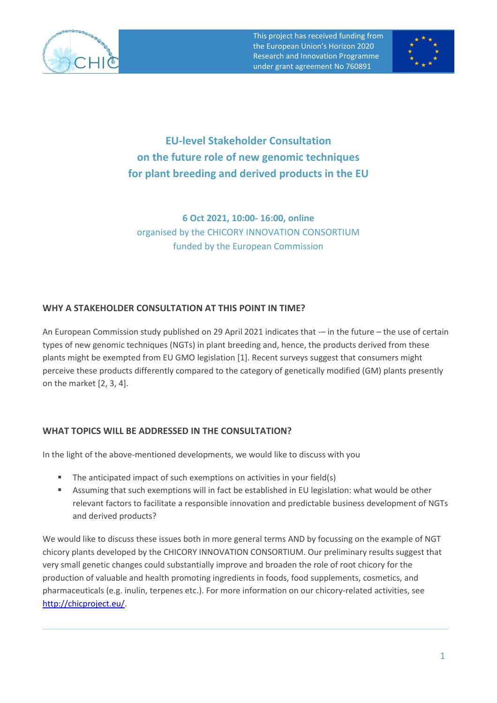

This project has received funding from the European Union's Horizon 2020 Research and Innovation Programme under grant agreement No 760891



**EU-level Stakeholder Consultation on the future role of new genomic techniques for plant breeding and derived products in the EU**

**6 Oct 2021, 10:00- 16:00, online**  organised by the CHICORY INNOVATION CONSORTIUM funded by the European Commission

## **WHY A STAKEHOLDER CONSULTATION AT THIS POINT IN TIME?**

An European Commission study published on 29 April 2021 indicates that -– in the future – the use of certain types of new genomic techniques (NGTs) in plant breeding and, hence, the products derived from these plants might be exempted from EU GMO legislation [1]. Recent surveys suggest that consumers might perceive these products differently compared to the category of genetically modified (GM) plants presently on the market [2, 3, 4].

## **WHAT TOPICS WILL BE ADDRESSED IN THE CONSULTATION?**

In the light of the above-mentioned developments, we would like to discuss with you

- The anticipated impact of such exemptions on activities in your field(s)
- Assuming that such exemptions will in fact be established in EU legislation: what would be other relevant factors to facilitate a responsible innovation and predictable business development of NGTs and derived products?

We would like to discuss these issues both in more general terms AND by focussing on the example of NGT chicory plants developed by the CHICORY INNOVATION CONSORTIUM. Our preliminary results suggest that very small genetic changes could substantially improve and broaden the role of root chicory for the production of valuable and health promoting ingredients in foods, food supplements, cosmetics, and pharmaceuticals (e.g. inulin, terpenes etc.). For more information on our chicory-related activities, see [http://chicproject.eu/.](http://chicproject.eu/)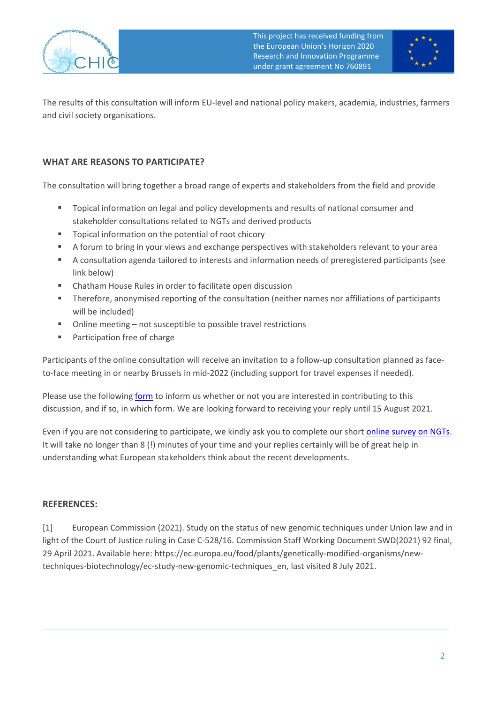

This project has received funding from the European Union's Horizon 2020 Research and Innovation Programme under grant agreement No 760891



The results of this consultation will inform EU-level and national policy makers, academia, industries, farmers and civil society organisations.

## **WHAT ARE REASONS TO PARTICIPATE?**

The consultation will bring together a broad range of experts and stakeholders from the field and provide

- Topical information on legal and policy developments and results of national consumer and stakeholder consultations related to NGTs and derived products
- Topical information on the potential of root chicory
- A forum to bring in your views and exchange perspectives with stakeholders relevant to your area
- A consultation agenda tailored to interests and information needs of preregistered participants (see link below)
- Chatham House Rules in order to facilitate open discussion
- **•** Therefore, anonymised reporting of the consultation (neither names nor affiliations of participants will be included)
- Online meeting not susceptible to possible travel restrictions
- Participation free of charge

Participants of the online consultation will receive an invitation to a follow-up consultation planned as faceto-face meeting in or nearby Brussels in mid-2022 (including support for travel expenses if needed).

Please use the following [form](http://chicproject.eu/the-eu-level-stakeholder-consultations-expression-of-interest/) to inform us whether or not you are interested in contributing to this discussion, and if so, in which form. We are looking forward to receiving your reply until 15 August 2021.

Even if you are not considering to participate, we kindly ask you to complete our shor[t online survey on NGTs.](https://survey.tugraz.at/index.php/395853?lang=en) It will take no longer than 8 (!) minutes of your time and your replies certainly will be of great help in understanding what European stakeholders think about the recent developments.

## **REFERENCES:**

[1] European Commission (2021). Study on the status of new genomic techniques under Union law and in light of the Court of Justice ruling in Case C-528/16. Commission Staff Working Document SWD(2021) 92 final, 29 April 2021. Available here: https://ec.europa.eu/food/plants/genetically-modified-organisms/newtechniques-biotechnology/ec-study-new-genomic-techniques\_en, last visited 8 July 2021.